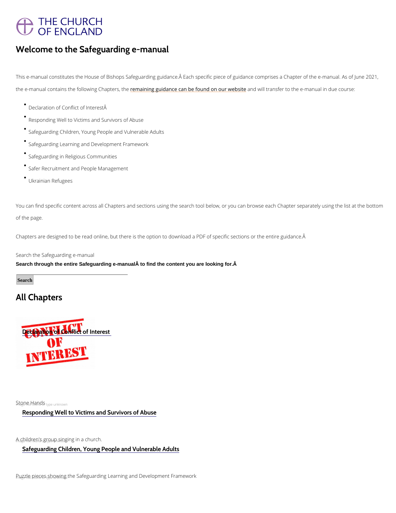# THE CHURCH OF ENGLAND

### Welcome to the Safeguarding e-manual

This e-manual constitutes the House of Bishops Safeguarding guidance. A Each specific piece of guidanc the e-manual contains the follo<u>wemga Chh<mark>agtgusdahe</mark>e can be foun</u>daond on uill webssifeer to the e-manual in due

You can find specific content across all Chapters and sections using the search tool below, or you can b of the page.

Chapters are designed to be read online, but there is the option to download a PDF of specific sections

Search the Safeguarding e-manual Search through the entire Safeguarding e-manual to find the content you are looking for.Â

#### **Search**

- Declaration of Conflict of Interest
- Responding Well to Victims and Survivors of Abuse
- Safeguarding Children, Young People and Vulnerable Adults
- Safeguarding Learning and Development Framework
- Safeguarding in Religious Communities
- Safer Recruitment and People Management
- Ukrainian Refugees

## All Chapters

[Declaration of Conflict of Interest](/safeguarding/safeguarding-e-manual/declaration-conflict-interest) 

 $S_h t_i \rho_d n_i e_0 t$  H $a_i$  nds  $s_i$  type unknown

### [Responding Well to Victims and Survivors of Abuse](/safeguarding/safeguarding-e-manual/responding-well-victims-and-survivors-abuse)

 $A_{n}$  a Genildren and  $s_1$  group  $w_n$  and  $w_n$  and  $s_n$  in a church.

[Safeguarding Children, Young People and Vulnerable Adults](/safeguarding/safeguarding-e-manual/safeguarding-children-young-people-and-vulnerable-adults-1)

[Puzzle pieces showing the Safeguarding Learning and Development Framework](/safeguarding/safeguarding-e-manual/safeguarding-learning-and-development-framework)